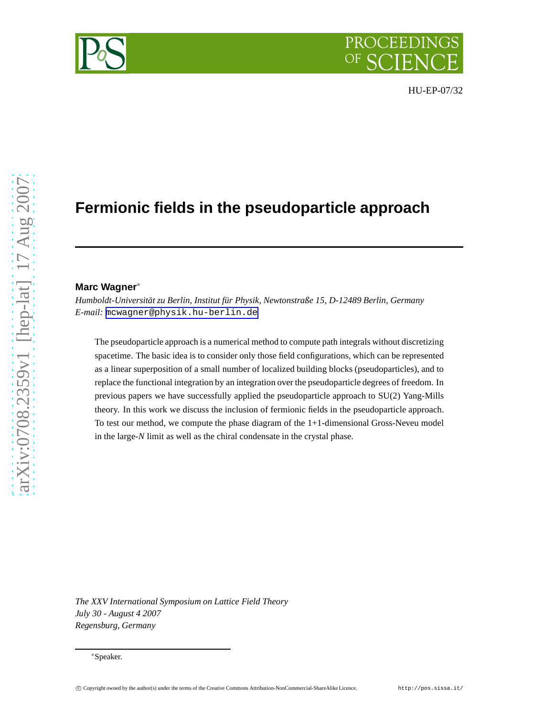# **Fermionic fields in the pseudoparticle approach**

#### **Marc Wagner**<sup>∗</sup>

*Humboldt-Universität zu Berlin, Institut für Physik, Newtonstraße 15, D-12489 Berlin, Germany E-mail:* [mcwagner@physik.hu-berlin.de](mailto:mcwagner@physik.hu-berlin.de)

The pseudoparticle approach is a numerical method to compute path integrals without discretizing spacetime. The basic idea is to consider only those field configurations, which can be represented as a linear superposition of a small number of localized building blocks (pseudoparticles), and to replace the functional integration by an integration over the pseudoparticle degrees of freedom. In previous papers we have successfully applied the pseudoparticle approach to SU(2) Yang-Mills theory. In this work we discuss the inclusion of fermionic fields in the pseudoparticle approach. To test our method, we compute the phase diagram of the 1+1-dimensional Gross-Neveu model in the large-*N* limit as well as the chiral condensate in the crystal phase.

*The XXV International Symposium on Lattice Field Theory July 30 - August 4 2007 Regensburg, Germany*

<sup>∗</sup>Speaker.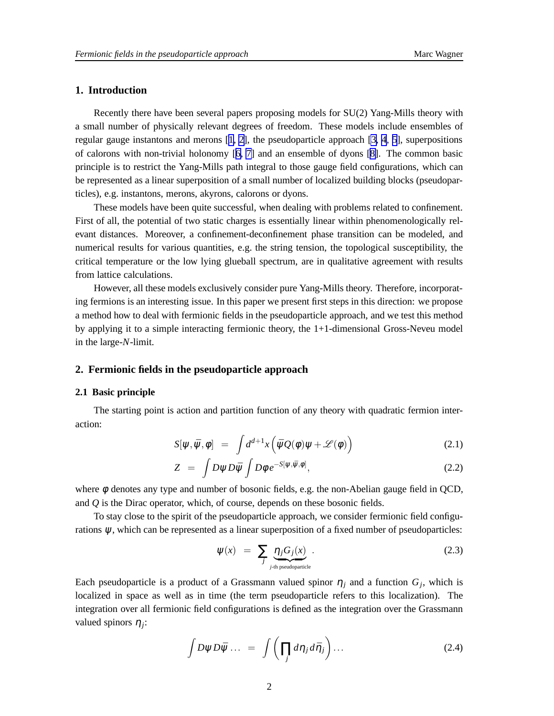# <span id="page-1-0"></span>**1. Introduction**

Recently there have been several papers proposing models for SU(2) Yang-Mills theory with a small number of physically relevant degrees of freedom. These models include ensembles of regular gauge instantons and merons [[1](#page-6-0), [2\]](#page-6-0), the pseudoparticle approach [\[3, 4](#page-6-0), [5\]](#page-6-0), superpositions of calorons with non-trivial holonomy [[6](#page-6-0), [7\]](#page-6-0) and an ensemble of dyons [\[8\]](#page-6-0). The common basic principle is to restrict the Yang-Mills path integral to those gauge field configurations, which can be represented as a linear superposition of a small number of localized building blocks (pseudoparticles), e.g. instantons, merons, akyrons, calorons or dyons.

These models have been quite successful, when dealing with problems related to confinement. First of all, the potential of two static charges is essentially linear within phenomenologically relevant distances. Moreover, a confinement-deconfinement phase transition can be modeled, and numerical results for various quantities, e.g. the string tension, the topological susceptibility, the critical temperature or the low lying glueball spectrum, are in qualitative agreement with results from lattice calculations.

However, all these models exclusively consider pure Yang-Mills theory. Therefore, incorporating fermions is an interesting issue. In this paper we present first steps in this direction: we propose a method how to deal with fermionic fields in the pseudoparticle approach, and we test this method by applying it to a simple interacting fermionic theory, the 1+1-dimensional Gross-Neveu model in the large-*N*-limit.

### **2. Fermionic fields in the pseudoparticle approach**

### **2.1 Basic principle**

The starting point is action and partition function of any theory with quadratic fermion interaction:

$$
S[\psi, \bar{\psi}, \phi] = \int d^{d+1}x \left( \bar{\psi}Q(\phi)\psi + \mathcal{L}(\phi) \right) \tag{2.1}
$$

$$
Z = \int D\psi D\bar{\psi} \int D\phi \, e^{-S[\psi,\bar{\psi},\phi]}, \tag{2.2}
$$

where  $\phi$  denotes any type and number of bosonic fields, e.g. the non-Abelian gauge field in QCD, and *Q* is the Dirac operator, which, of course, depends on these bosonic fields.

To stay close to the spirit of the pseudoparticle approach, we consider fermionic field configurations  $\psi$ , which can be represented as a linear superposition of a fixed number of pseudoparticles:

$$
\Psi(x) = \sum_{j} \underbrace{\eta_j G_j(x)}_{j \text{-th pseudoparticle}}.
$$
\n(2.3)

Each pseudoparticle is a product of a Grassmann valued spinor  $\eta_j$  and a function  $G_j$ , which is localized in space as well as in time (the term pseudoparticle refers to this localization). The integration over all fermionic field configurations is defined as the integration over the Grassmann valued spinors <sup>η</sup>*<sup>j</sup>* :

$$
\int D\psi D\bar{\psi} \dots = \int \left( \prod_j d\eta_j d\bar{\eta}_j \right) \dots \tag{2.4}
$$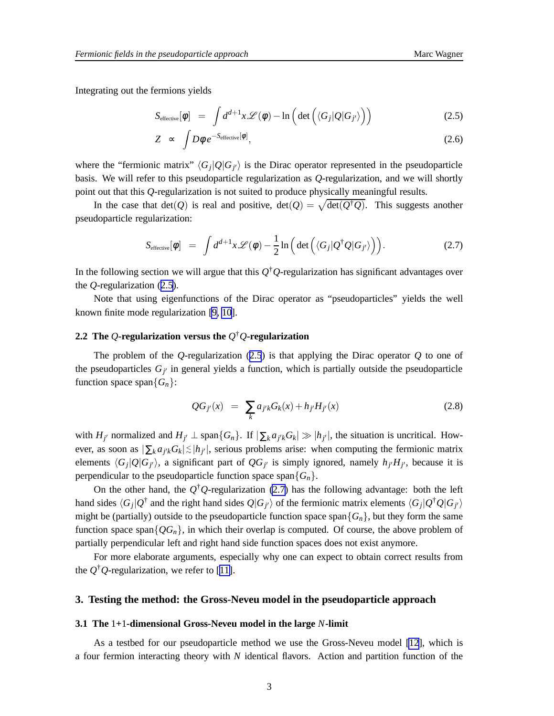<span id="page-2-0"></span>Integrating out the fermions yields

$$
S_{\text{effective}}[\phi] = \int d^{d+1}x \mathscr{L}(\phi) - \ln\left(\det\left(\langle G_j|Q|G_{j'}\rangle\right)\right) \tag{2.5}
$$

$$
Z \sim \int D\phi \, e^{-S_{\text{effective}}[\phi]}, \tag{2.6}
$$

where the "fermionic matrix"  $\langle G_j | Q | G_{j'} \rangle$  is the Dirac operator represented in the pseudoparticle basis. We will refer to this pseudoparticle regularization as *Q*-regularization, and we will shortly point out that this *Q*-regularization is not suited to produce physically meaningful results.

In the case that  $det(Q)$  is real and positive,  $det(Q) = \sqrt{det(Q^{\dagger}Q)}$ . This suggests another pseudoparticle regularization:

$$
S_{\text{effective}}[\phi] = \int d^{d+1}x \mathscr{L}(\phi) - \frac{1}{2} \ln \left( \det \left( \langle G_j | Q^\dagger Q | G_{j'} \rangle \right) \right).
$$
 (2.7)

In the following section we will argue that this *Q* †*Q*-regularization has significant advantages over the *Q*-regularization (2.5).

Note that using eigenfunctions of the Dirac operator as "pseudoparticles" yields the well known finite mode regularization [\[9, 10](#page-6-0)].

# **2.2 The** *Q***-regularization versus the** *Q* †*Q***-regularization**

The problem of the *Q*-regularization (2.5) is that applying the Dirac operator *Q* to one of the pseudoparticles  $G_{j'}$  in general yields a function, which is partially outside the pseudoparticle function space span ${G_n}$ :

$$
QG_{j'}(x) = \sum_{k} a_{j'k} G_k(x) + h_{j'} H_{j'}(x)
$$
\n(2.8)

with  $H_{j'}$  normalized and  $H_{j'} \perp \text{span}\{G_n\}$ . If  $|\sum_k a_{j'k} G_k| \gg |h_{j'}|$ , the situation is uncritical. However, as soon as  $|\sum_k a_{j'k} G_k| \lesssim |h_{j'}|$ , serious problems arise: when computing the fermionic matrix elements  $\langle G_j | Q | G_{j'} \rangle$ , a significant part of  $QG_{j'}$  is simply ignored, namely  $h_{j'} H_{j'}$ , because it is perpendicular to the pseudoparticle function space span ${G_n}$ .

On the other hand, the  $Q^{\dagger}Q$ -regularization (2.7) has the following advantage: both the left hand sides  $\langle G_j | Q^{\dagger}$  and the right hand sides  $Q | G_{j'} \rangle$  of the fermionic matrix elements  $\langle G_j | Q^{\dagger} Q | G_{j'} \rangle$ might be (partially) outside to the pseudoparticle function space span ${G_n}$ , but they form the same function space span $\{QG_n\}$ , in which their overlap is computed. Of course, the above problem of partially perpendicular left and right hand side function spaces does not exist anymore.

For more elaborate arguments, especially why one can expect to obtain correct results from the  $Q^{\dagger}Q$ -regularization, we refer to [[11\]](#page-6-0).

#### **3. Testing the method: the Gross-Neveu model in the pseudoparticle approach**

#### **3.1 The** 1**+**1**-dimensional Gross-Neveu model in the large** *N***-limit**

As a testbed for our pseudoparticle method we use the Gross-Neveu model [\[12](#page-6-0)], which is a four fermion interacting theory with *N* identical flavors. Action and partition function of the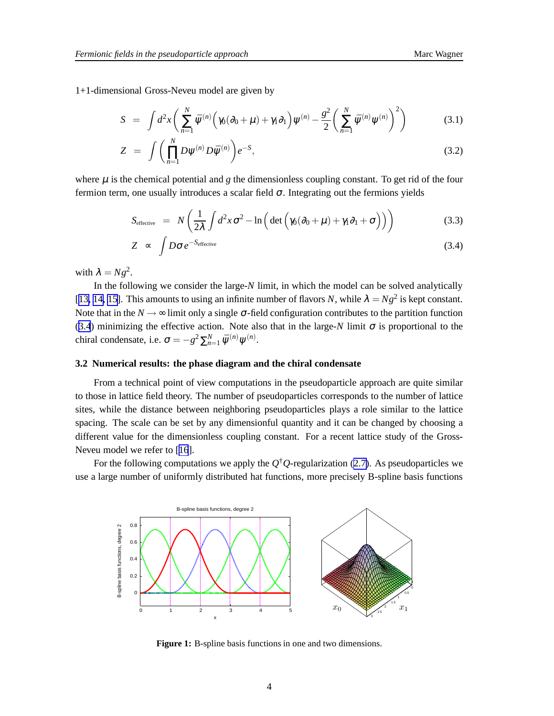<span id="page-3-0"></span>1+1-dimensional Gross-Neveu model are given by

$$
S = \int d^2x \left( \sum_{n=1}^N \bar{\psi}^{(n)} \left( \gamma_0 (\partial_0 + \mu) + \gamma_1 \partial_1 \right) \psi^{(n)} - \frac{g^2}{2} \left( \sum_{n=1}^N \bar{\psi}^{(n)} \psi^{(n)} \right)^2 \right) \tag{3.1}
$$

$$
Z = \int \left( \prod_{n=1}^{N} D \psi^{(n)} D \bar{\psi}^{(n)} \right) e^{-S}, \tag{3.2}
$$

where  $\mu$  is the chemical potential and g the dimensionless coupling constant. To get rid of the four fermion term, one usually introduces a scalar field  $\sigma$ . Integrating out the fermions yields

$$
S_{\text{effective}} = N \left( \frac{1}{2\lambda} \int d^2 x \sigma^2 - \ln \left( \det \left( \gamma_0 (\partial_0 + \mu) + \gamma_1 \partial_1 + \sigma \right) \right) \right) \tag{3.3}
$$

$$
Z \sim \int D\sigma \, e^{-S_{\text{effective}}} \tag{3.4}
$$

with  $\lambda = Ng^2$ .

In the following we consider the large-*N* limit, in which the model can be solved analytically [[13, 14, 15\]](#page-6-0). This amounts to using an infinite number of flavors *N*, while  $\lambda = Ng^2$  is kept constant. Note that in the  $N \rightarrow \infty$  limit only a single  $\sigma$ -field configuration contributes to the partition function (3.4) minimizing the effective action. Note also that in the large- $N$  limit  $\sigma$  is proportional to the chiral condensate, i.e.  $\sigma = -g^2 \sum_{n=1}^{N} \bar{\psi}^{(n)} \psi^{(n)}$ .

#### **3.2 Numerical results: the phase diagram and the chiral condensate**

From a technical point of view computations in the pseudoparticle approach are quite similar to those in lattice field theory. The number of pseudoparticles corresponds to the number of lattice sites, while the distance between neighboring pseudoparticles plays a role similar to the lattice spacing. The scale can be set by any dimensionful quantity and it can be changed by choosing a different value for the dimensionless coupling constant. For a recent lattice study of the Gross-Neveu model we refer to [[16](#page-6-0)].

For the following computations we apply the  $Q^{\dagger}Q$ -regularization ([2.7\)](#page-2-0). As pseudoparticles we use a large number of uniformly distributed hat functions, more precisely B-spline basis functions



**Figure 1:** B-spline basis functions in one and two dimensions.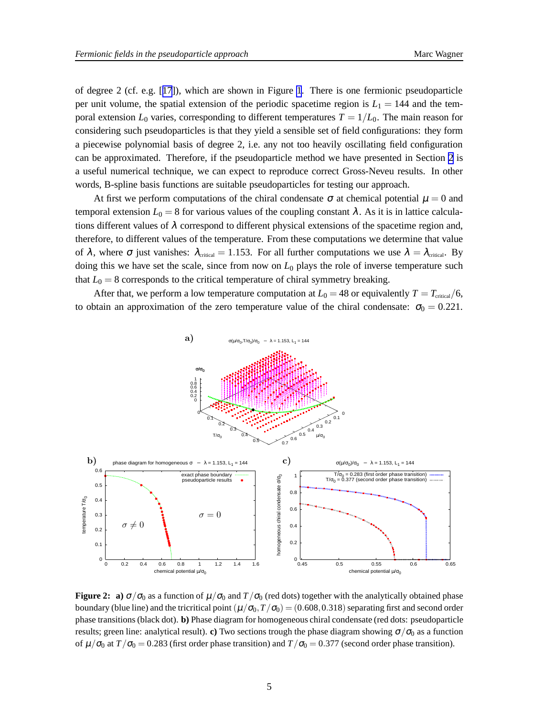<span id="page-4-0"></span>of degree 2 (cf. e.g. [[17](#page-6-0)]), which are shown in Figure [1](#page-3-0). There is one fermionic pseudoparticle per unit volume, the spatial extension of the periodic spacetime region is  $L_1 = 144$  and the temporal extension  $L_0$  varies, corresponding to different temperatures  $T = 1/L_0$ . The main reason for considering such pseudoparticles is that they yield a sensible set of field configurations: they form a piecewise polynomial basis of degree 2, i.e. any not too heavily oscillating field configuration can be approximated. Therefore, if the pseudoparticle method we have presented in Section [2](#page-1-0) is a useful numerical technique, we can expect to reproduce correct Gross-Neveu results. In other words, B-spline basis functions are suitable pseudoparticles for testing our approach.

At first we perform computations of the chiral condensate  $\sigma$  at chemical potential  $\mu = 0$  and temporal extension  $L_0 = 8$  for various values of the coupling constant  $\lambda$ . As it is in lattice calculations different values of  $\lambda$  correspond to different physical extensions of the spacetime region and, therefore, to different values of the temperature. From these computations we determine that value of  $\lambda$ , where  $\sigma$  just vanishes:  $\lambda_{\text{critical}} = 1.153$ . For all further computations we use  $\lambda = \lambda_{\text{critical}}$ . By doing this we have set the scale, since from now on  $L_0$  plays the role of inverse temperature such that  $L_0 = 8$  corresponds to the critical temperature of chiral symmetry breaking.

After that, we perform a low temperature computation at  $L_0 = 48$  or equivalently  $T = T_{\text{critical}}/6$ , to obtain an approximation of the zero temperature value of the chiral condensate:  $\sigma_0 = 0.221$ .



**Figure 2: a)**  $\sigma/\sigma_0$  as a function of  $\mu/\sigma_0$  and  $T/\sigma_0$  (red dots) together with the analytically obtained phase boundary (blue line) and the tricritical point  $(\mu/\sigma_0, T/\sigma_0) = (0.608, 0.318)$  separating first and second order phase transitions (black dot). **b)** Phase diagram for homogeneous chiral condensate (red dots: pseudoparticle results; green line: analytical result). **c**) Two sections trough the phase diagram showing  $\sigma/\sigma_0$  as a function of  $\mu/\sigma_0$  at  $T/\sigma_0 = 0.283$  (first order phase transition) and  $T/\sigma_0 = 0.377$  (second order phase transition).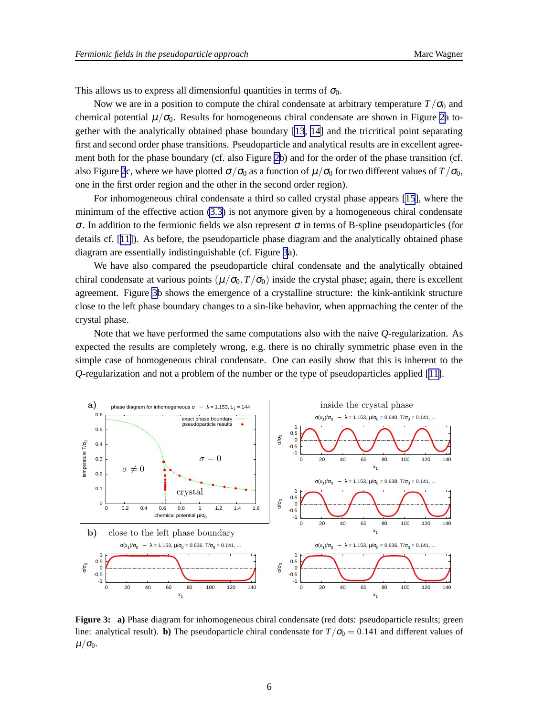This allows us to express all dimensionful quantities in terms of  $\sigma_0$ .

Now we are in a position to compute the chiral condensate at arbitrary temperature  $T/\sigma_0$  and chemical potential  $\mu/\sigma_0$ . Results for homogeneous chiral condensate are shown in Figure [2a](#page-4-0) together with the analytically obtained phase boundary [\[13](#page-6-0), [14](#page-6-0)] and the tricritical point separating first and second order phase transitions. Pseudoparticle and analytical results are in excellent agreement both for the phase boundary (cf. also Figure [2b](#page-4-0)) and for the order of the phase transition (cf. also Figure [2](#page-4-0)c, where we have plotted  $\sigma/\sigma_0$  as a function of  $\mu/\sigma_0$  for two different values of  $T/\sigma_0$ , one in the first order region and the other in the second order region).

For inhomogeneous chiral condensate a third so called crystal phase appears [\[15](#page-6-0)], where the minimum of the effective action [\(3.3\)](#page-3-0) is not anymore given by a homogeneous chiral condensate <sup>σ</sup>. In addition to the fermionic fields we also represent <sup>σ</sup> in terms of B-spline pseudoparticles (for details cf. [[11\]](#page-6-0)). As before, the pseudoparticle phase diagram and the analytically obtained phase diagram are essentially indistinguishable (cf. Figure 3a).

We have also compared the pseudoparticle chiral condensate and the analytically obtained chiral condensate at various points  $(\mu/\sigma_0, T/\sigma_0)$  inside the crystal phase; again, there is excellent agreement. Figure 3b shows the emergence of a crystalline structure: the kink-antikink structure close to the left phase boundary changes to a sin-like behavior, when approaching the center of the crystal phase.

Note that we have performed the same computations also with the naive *Q*-regularization. As expected the results are completely wrong, e.g. there is no chirally symmetric phase even in the simple case of homogeneous chiral condensate. One can easily show that this is inherent to the *Q*-regularization and not a problem of the number or the type of pseudoparticles applied [\[11\]](#page-6-0).



**Figure 3: a)** Phase diagram for inhomogeneous chiral condensate (red dots: pseudoparticle results; green line: analytical result). **b**) The pseudoparticle chiral condensate for  $T/\sigma_0 = 0.141$  and different values of  $\mu/\sigma_0$ .